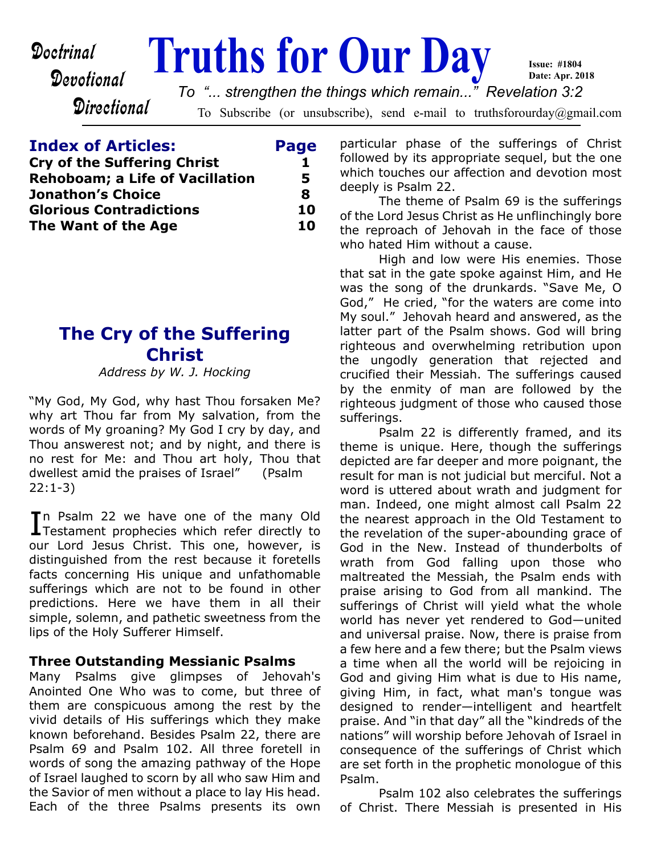Devotional

# **Doctrinal Truths for Our Day**

To Subscribe (or unsubscribe), send e-mail to truthsforourday@gmail.com *To "... strengthen the things which remain..." Revelation 3:2*

## **Index of Articles: Page**

**Directional** 

| <b>Cry of the Suffering Christ</b>     |    |
|----------------------------------------|----|
| <b>Rehoboam; a Life of Vacillation</b> | 5  |
| Jonathon's Choice                      | 8  |
| <b>Glorious Contradictions</b>         | 10 |
| The Want of the Age                    | 10 |
|                                        |    |

# **The Cry of the Suffering Christ**

*Address by W. J. Hocking*

"My God, My God, why hast Thou forsaken Me? why art Thou far from My salvation, from the words of My groaning? My God I cry by day, and Thou answerest not; and by night, and there is no rest for Me: and Thou art holy, Thou that dwellest amid the praises of Israel" (Psalm 22:1-3)

In Psalm 22 we have one of the many Old<br>Testament prophecies which refer directly to Testament prophecies which refer directly to our Lord Jesus Christ. This one, however, is distinguished from the rest because it foretells facts concerning His unique and unfathomable sufferings which are not to be found in other predictions. Here we have them in all their simple, solemn, and pathetic sweetness from the lips of the Holy Sufferer Himself.

## **Three Outstanding Messianic Psalms**

Many Psalms give glimpses of Jehovah's Anointed One Who was to come, but three of them are conspicuous among the rest by the vivid details of His sufferings which they make known beforehand. Besides Psalm 22, there are Psalm 69 and Psalm 102. All three foretell in words of song the amazing pathway of the Hope of Israel laughed to scorn by all who saw Him and the Savior of men without a place to lay His head. Each of the three Psalms presents its own

particular phase of the sufferings of Christ followed by its appropriate sequel, but the one which touches our affection and devotion most deeply is Psalm 22.

**Issue: #1804 Date: Apr. 2018**

 The theme of Psalm 69 is the sufferings of the Lord Jesus Christ as He unflinchingly bore the reproach of Jehovah in the face of those who hated Him without a cause.

 High and low were His enemies. Those that sat in the gate spoke against Him, and He was the song of the drunkards. "Save Me, O God," He cried, "for the waters are come into My soul." Jehovah heard and answered, as the latter part of the Psalm shows. God will bring righteous and overwhelming retribution upon the ungodly generation that rejected and crucified their Messiah. The sufferings caused by the enmity of man are followed by the righteous judgment of those who caused those sufferings.

 Psalm 22 is differently framed, and its theme is unique. Here, though the sufferings depicted are far deeper and more poignant, the result for man is not judicial but merciful. Not a word is uttered about wrath and judgment for man. Indeed, one might almost call Psalm 22 the nearest approach in the Old Testament to the revelation of the super-abounding grace of God in the New. Instead of thunderbolts of wrath from God falling upon those who maltreated the Messiah, the Psalm ends with praise arising to God from all mankind. The sufferings of Christ will yield what the whole world has never yet rendered to God—united and universal praise. Now, there is praise from a few here and a few there; but the Psalm views a time when all the world will be rejoicing in God and giving Him what is due to His name, giving Him, in fact, what man's tongue was designed to render—intelligent and heartfelt praise. And "in that day" all the "kindreds of the nations" will worship before Jehovah of Israel in consequence of the sufferings of Christ which are set forth in the prophetic monologue of this Psalm.

 Psalm 102 also celebrates the sufferings of Christ. There Messiah is presented in His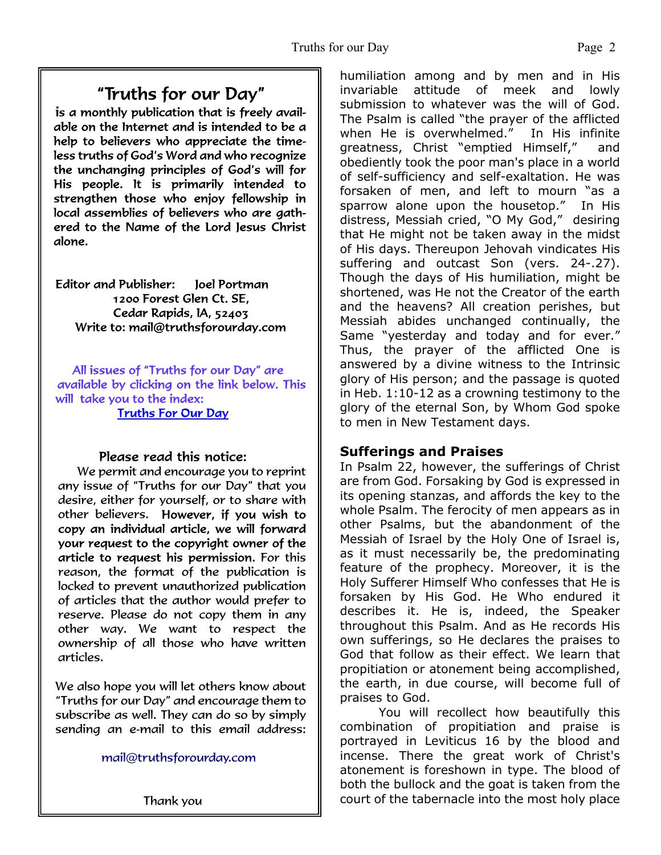# "Truths for our Day"

is a monthly publication that is freely available on the Internet and is intended to be a help to believers who appreciate the timeless truths of God's Word and who recognize the unchanging principles of God's will for His people. It is primarily intended to strengthen those who enjoy fellowship in local assemblies of believers who are gathered to the Name of the Lord Jesus Christ alone.

Editor and Publisher: loel Portman 1200 Forest Glen Ct. SE. Cedar Rapids, IA, 52403 Write to: mail@truthsforourday.com

All issues of "Truths for our Day" are available by clicking on the link below. This will take you to the index: **Truths For Our Day** 

#### Please read this notice:

We permit and encourage you to reprint any issue of "Truths for our Day" that you desire, either for yourself, or to share with other believers. However, if you wish to<br>copy an individual article, we will forward your request to the copyright owner of the article to request his permission. For this reason, the format of the publication is locked to prevent unauthorized publication of articles that the author would prefer to reserve. Please do not copy them in any other way. We want to respect the ownership of all those who have written articles.

 We also hope you will let others know about "Truths for our Day" and encourage them to subscribe as well. They can do so by simply sending an e-mail to this email address:

mail@truthsforourday.com

Thank you

humiliation among and by men and in His invariable attitude of meek and lowly submission to whatever was the will of God. The Psalm is called "the prayer of the afflicted when He is overwhelmed." In His infinite greatness, Christ "emptied Himself," and obediently took the poor man's place in a world of self-sufficiency and self-exaltation. He was forsaken of men, and left to mourn "as a sparrow alone upon the housetop." In His distress, Messiah cried, "O My God," desiring that He might not be taken away in the midst of His days. Thereupon Jehovah vindicates His suffering and outcast Son (vers. 24-.27). Though the days of His humiliation, might be shortened, was He not the Creator of the earth and the heavens? All creation perishes, but Messiah abides unchanged continually, the Same "yesterday and today and for ever." Thus, the prayer of the afflicted One is answered by a divine witness to the Intrinsic glory of His person; and the passage is quoted in Heb. 1:10-12 as a crowning testimony to the glory of the eternal Son, by Whom God spoke to men in New Testament days.

#### **Sufferings and Praises**

In Psalm 22, however, the sufferings of Christ are from God. Forsaking by God is expressed in its opening stanzas, and affords the key to the whole Psalm. The ferocity of men appears as in other Psalms, but the abandonment of the Messiah of Israel by the Holy One of Israel is, as it must necessarily be, the predominating feature of the prophecy. Moreover, it is the Holy Sufferer Himself Who confesses that He is forsaken by His God. He Who endured it describes it. He is, indeed, the Speaker throughout this Psalm. And as He records His own sufferings, so He declares the praises to God that follow as their effect. We learn that propitiation or atonement being accomplished, the earth, in due course, will become full of praises to God.

 You will recollect how beautifully this combination of propitiation and praise is portrayed in Leviticus 16 by the blood and incense. There the great work of Christ's atonement is foreshown in type. The blood of both the bullock and the goat is taken from the court of the tabernacle into the most holy place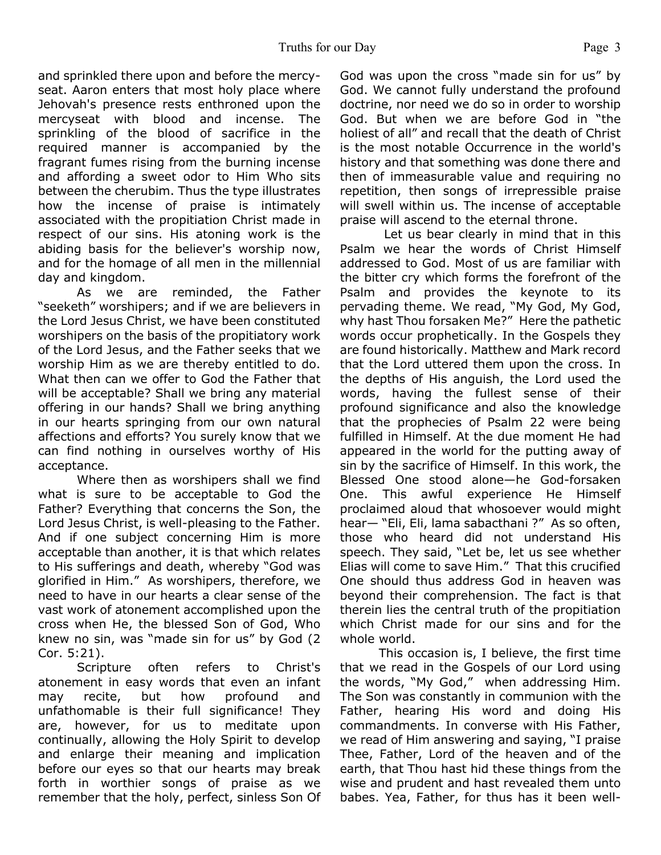and sprinkled there upon and before the mercyseat. Aaron enters that most holy place where Jehovah's presence rests enthroned upon the mercyseat with blood and incense. The sprinkling of the blood of sacrifice in the required manner is accompanied by the fragrant fumes rising from the burning incense and affording a sweet odor to Him Who sits between the cherubim. Thus the type illustrates how the incense of praise is intimately associated with the propitiation Christ made in respect of our sins. His atoning work is the abiding basis for the believer's worship now, and for the homage of all men in the millennial day and kingdom.

 As we are reminded, the Father "seeketh" worshipers; and if we are believers in the Lord Jesus Christ, we have been constituted worshipers on the basis of the propitiatory work of the Lord Jesus, and the Father seeks that we worship Him as we are thereby entitled to do. What then can we offer to God the Father that will be acceptable? Shall we bring any material offering in our hands? Shall we bring anything in our hearts springing from our own natural affections and efforts? You surely know that we can find nothing in ourselves worthy of His acceptance.

 Where then as worshipers shall we find what is sure to be acceptable to God the Father? Everything that concerns the Son, the Lord Jesus Christ, is well-pleasing to the Father. And if one subject concerning Him is more acceptable than another, it is that which relates to His sufferings and death, whereby "God was glorified in Him." As worshipers, therefore, we need to have in our hearts a clear sense of the vast work of atonement accomplished upon the cross when He, the blessed Son of God, Who knew no sin, was "made sin for us" by God (2 Cor. 5:21).

 Scripture often refers to Christ's atonement in easy words that even an infant may recite, but how profound and unfathomable is their full significance! They are, however, for us to meditate upon continually, allowing the Holy Spirit to develop and enlarge their meaning and implication before our eyes so that our hearts may break forth in worthier songs of praise as we remember that the holy, perfect, sinless Son Of God was upon the cross "made sin for us" by God. We cannot fully understand the profound doctrine, nor need we do so in order to worship God. But when we are before God in "the holiest of all" and recall that the death of Christ is the most notable Occurrence in the world's history and that something was done there and then of immeasurable value and requiring no repetition, then songs of irrepressible praise will swell within us. The incense of acceptable praise will ascend to the eternal throne.

 Let us bear clearly in mind that in this Psalm we hear the words of Christ Himself addressed to God. Most of us are familiar with the bitter cry which forms the forefront of the Psalm and provides the keynote to its pervading theme. We read, "My God, My God, why hast Thou forsaken Me?" Here the pathetic words occur prophetically. In the Gospels they are found historically. Matthew and Mark record that the Lord uttered them upon the cross. In the depths of His anguish, the Lord used the words, having the fullest sense of their profound significance and also the knowledge that the prophecies of Psalm 22 were being fulfilled in Himself. At the due moment He had appeared in the world for the putting away of sin by the sacrifice of Himself. In this work, the Blessed One stood alone—he God-forsaken One. This awful experience He Himself proclaimed aloud that whosoever would might hear— "Eli, Eli, lama sabacthani ?" As so often, those who heard did not understand His speech. They said, "Let be, let us see whether Elias will come to save Him." That this crucified One should thus address God in heaven was beyond their comprehension. The fact is that therein lies the central truth of the propitiation which Christ made for our sins and for the whole world.

 This occasion is, I believe, the first time that we read in the Gospels of our Lord using the words, "My God," when addressing Him. The Son was constantly in communion with the Father, hearing His word and doing His commandments. In converse with His Father, we read of Him answering and saying, "I praise Thee, Father, Lord of the heaven and of the earth, that Thou hast hid these things from the wise and prudent and hast revealed them unto babes. Yea, Father, for thus has it been well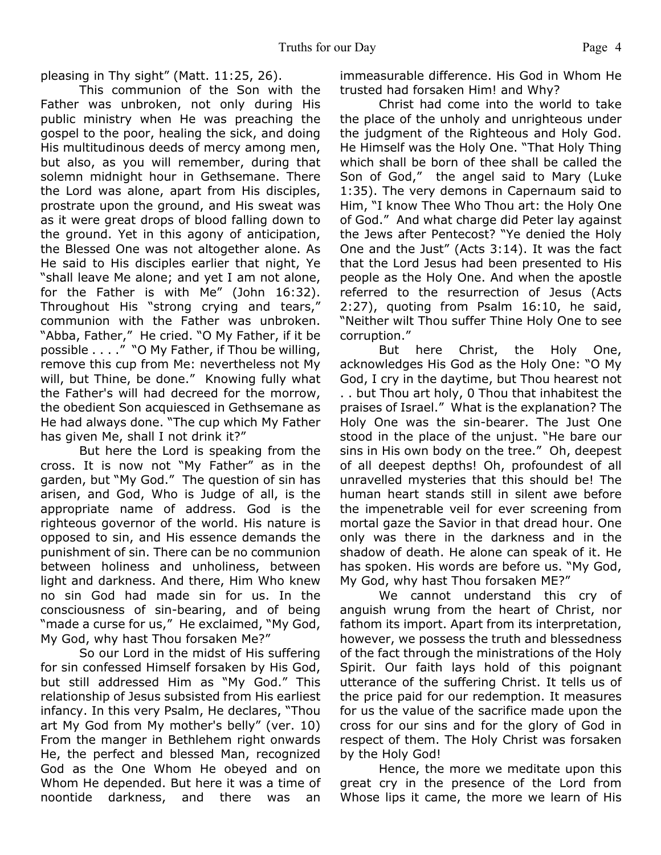pleasing in Thy sight" (Matt. 11:25, 26).

 This communion of the Son with the Father was unbroken, not only during His public ministry when He was preaching the gospel to the poor, healing the sick, and doing His multitudinous deeds of mercy among men, but also, as you will remember, during that solemn midnight hour in Gethsemane. There the Lord was alone, apart from His disciples, prostrate upon the ground, and His sweat was as it were great drops of blood falling down to the ground. Yet in this agony of anticipation, the Blessed One was not altogether alone. As He said to His disciples earlier that night, Ye "shall leave Me alone; and yet I am not alone, for the Father is with Me" (John 16:32). Throughout His "strong crying and tears," communion with the Father was unbroken. "Abba, Father," He cried. "O My Father, if it be possible . . . ." "O My Father, if Thou be willing, remove this cup from Me: nevertheless not My will, but Thine, be done." Knowing fully what the Father's will had decreed for the morrow, the obedient Son acquiesced in Gethsemane as He had always done. "The cup which My Father has given Me, shall I not drink it?"

 But here the Lord is speaking from the cross. It is now not "My Father" as in the garden, but "My God." The question of sin has arisen, and God, Who is Judge of all, is the appropriate name of address. God is the righteous governor of the world. His nature is opposed to sin, and His essence demands the punishment of sin. There can be no communion between holiness and unholiness, between light and darkness. And there, Him Who knew no sin God had made sin for us. In the consciousness of sin-bearing, and of being "made a curse for us," He exclaimed, "My God, My God, why hast Thou forsaken Me?"

 So our Lord in the midst of His suffering for sin confessed Himself forsaken by His God, but still addressed Him as "My God." This relationship of Jesus subsisted from His earliest infancy. In this very Psalm, He declares, "Thou art My God from My mother's belly" (ver. 10) From the manger in Bethlehem right onwards He, the perfect and blessed Man, recognized God as the One Whom He obeyed and on Whom He depended. But here it was a time of noontide darkness, and there was an

immeasurable difference. His God in Whom He trusted had forsaken Him! and Why?

 Christ had come into the world to take the place of the unholy and unrighteous under the judgment of the Righteous and Holy God. He Himself was the Holy One. "That Holy Thing which shall be born of thee shall be called the Son of God," the angel said to Mary (Luke 1:35). The very demons in Capernaum said to Him, "I know Thee Who Thou art: the Holy One of God." And what charge did Peter lay against the Jews after Pentecost? "Ye denied the Holy One and the Just" (Acts 3:14). It was the fact that the Lord Jesus had been presented to His people as the Holy One. And when the apostle referred to the resurrection of Jesus (Acts 2:27), quoting from Psalm 16:10, he said, "Neither wilt Thou suffer Thine Holy One to see corruption."

 But here Christ, the Holy One, acknowledges His God as the Holy One: "O My God, I cry in the daytime, but Thou hearest not . . but Thou art holy, 0 Thou that inhabitest the praises of Israel." What is the explanation? The Holy One was the sin-bearer. The Just One stood in the place of the unjust. "He bare our sins in His own body on the tree." Oh, deepest of all deepest depths! Oh, profoundest of all unravelled mysteries that this should be! The human heart stands still in silent awe before the impenetrable veil for ever screening from mortal gaze the Savior in that dread hour. One only was there in the darkness and in the shadow of death. He alone can speak of it. He has spoken. His words are before us. "My God, My God, why hast Thou forsaken ME?"

 We cannot understand this cry of anguish wrung from the heart of Christ, nor fathom its import. Apart from its interpretation, however, we possess the truth and blessedness of the fact through the ministrations of the Holy Spirit. Our faith lays hold of this poignant utterance of the suffering Christ. It tells us of the price paid for our redemption. It measures for us the value of the sacrifice made upon the cross for our sins and for the glory of God in respect of them. The Holy Christ was forsaken by the Holy God!

 Hence, the more we meditate upon this great cry in the presence of the Lord from Whose lips it came, the more we learn of His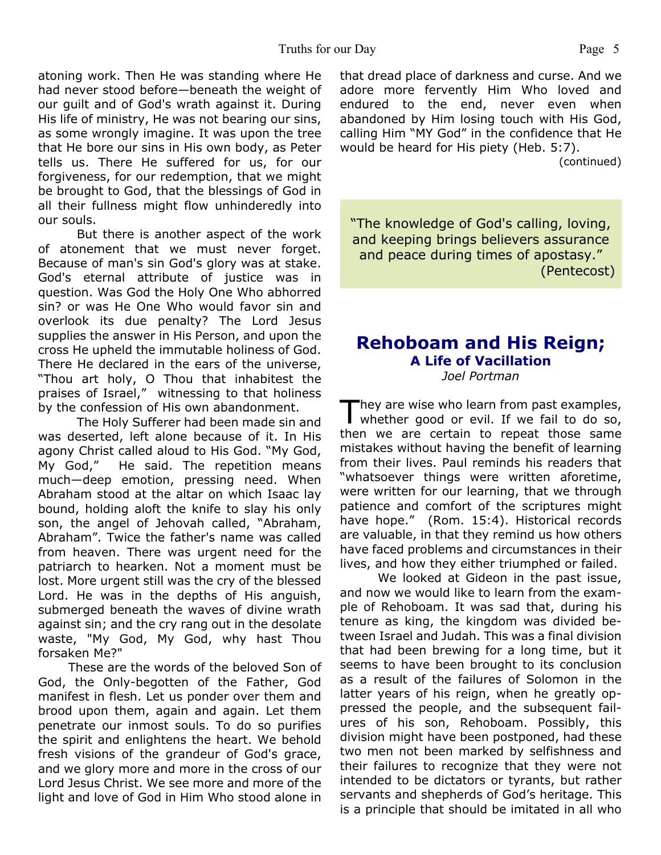atoning work. Then He was standing where He had never stood before—beneath the weight of our guilt and of God's wrath against it. During His life of ministry, He was not bearing our sins, as some wrongly imagine. It was upon the tree that He bore our sins in His own body, as Peter tells us. There He suffered for us, for our forgiveness, for our redemption, that we might be brought to God, that the blessings of God in all their fullness might flow unhinderedly into our souls.

 But there is another aspect of the work of atonement that we must never forget. Because of man's sin God's glory was at stake. God's eternal attribute of justice was in question. Was God the Holy One Who abhorred sin? or was He One Who would favor sin and overlook its due penalty? The Lord Jesus supplies the answer in His Person, and upon the cross He upheld the immutable holiness of God. There He declared in the ears of the universe, "Thou art holy, O Thou that inhabitest the praises of Israel," witnessing to that holiness by the confession of His own abandonment.

 The Holy Sufferer had been made sin and was deserted, left alone because of it. In His agony Christ called aloud to His God. "My God, My God," He said. The repetition means much—deep emotion, pressing need. When Abraham stood at the altar on which Isaac lay bound, holding aloft the knife to slay his only son, the angel of Jehovah called, "Abraham, Abraham". Twice the father's name was called from heaven. There was urgent need for the patriarch to hearken. Not a moment must be lost. More urgent still was the cry of the blessed Lord. He was in the depths of His anguish, submerged beneath the waves of divine wrath against sin; and the cry rang out in the desolate waste, "My God, My God, why hast Thou forsaken Me?"

 These are the words of the beloved Son of God, the Only-begotten of the Father, God manifest in flesh. Let us ponder over them and brood upon them, again and again. Let them penetrate our inmost souls. To do so purifies the spirit and enlightens the heart. We behold fresh visions of the grandeur of God's grace, and we glory more and more in the cross of our Lord Jesus Christ. We see more and more of the light and love of God in Him Who stood alone in

that dread place of darkness and curse. And we adore more fervently Him Who loved and endured to the end, never even when abandoned by Him losing touch with His God, calling Him "MY God" in the confidence that He would be heard for His piety (Heb. 5:7).

(continued)

"The knowledge of God's calling, loving, and keeping brings believers assurance and peace during times of apostasy." (Pentecost)

#### **Rehoboam and His Reign; A Life of Vacillation** *Joel Portman*

 $\prod_{i=1}^n$ hey are wise who learn from past examples, whether good or evil. If we fail to do so, then we are certain to repeat those same mistakes without having the benefit of learning from their lives. Paul reminds his readers that "whatsoever things were written aforetime, were written for our learning, that we through patience and comfort of the scriptures might have hope." (Rom. 15:4). Historical records are valuable, in that they remind us how others have faced problems and circumstances in their lives, and how they either triumphed or failed.

 We looked at Gideon in the past issue, and now we would like to learn from the example of Rehoboam. It was sad that, during his tenure as king, the kingdom was divided between Israel and Judah. This was a final division that had been brewing for a long time, but it seems to have been brought to its conclusion as a result of the failures of Solomon in the latter years of his reign, when he greatly oppressed the people, and the subsequent failures of his son, Rehoboam. Possibly, this division might have been postponed, had these two men not been marked by selfishness and their failures to recognize that they were not intended to be dictators or tyrants, but rather servants and shepherds of God's heritage. This is a principle that should be imitated in all who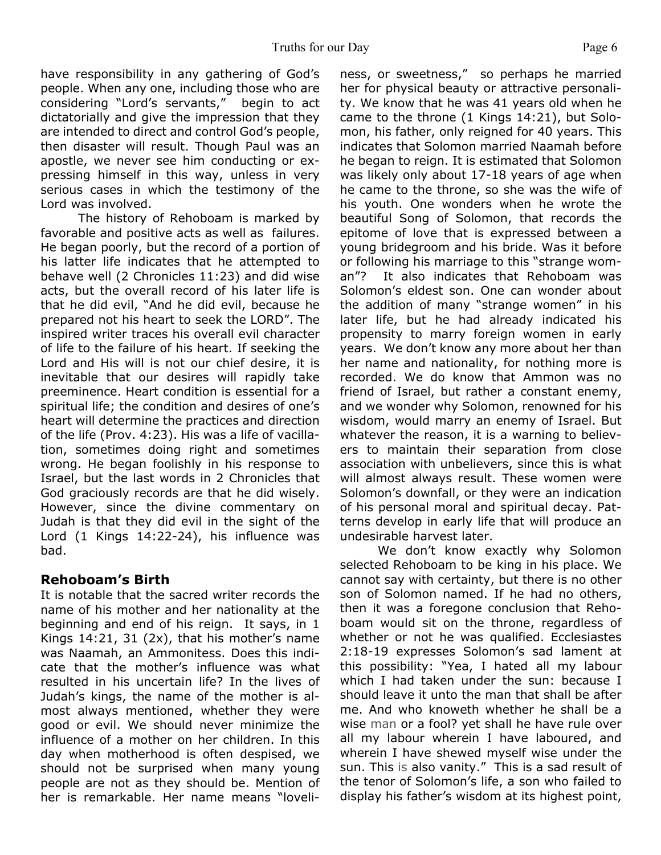have responsibility in any gathering of God's people. When any one, including those who are considering "Lord's servants," begin to act dictatorially and give the impression that they are intended to direct and control God's people, then disaster will result. Though Paul was an apostle, we never see him conducting or expressing himself in this way, unless in very serious cases in which the testimony of the Lord was involved.

 The history of Rehoboam is marked by favorable and positive acts as well as failures. He began poorly, but the record of a portion of his latter life indicates that he attempted to behave well (2 Chronicles 11:23) and did wise acts, but the overall record of his later life is that he did evil, "And he did evil, because he prepared not his heart to seek the LORD". The inspired writer traces his overall evil character of life to the failure of his heart. If seeking the Lord and His will is not our chief desire, it is inevitable that our desires will rapidly take preeminence. Heart condition is essential for a spiritual life; the condition and desires of one's heart will determine the practices and direction of the life (Prov. 4:23). His was a life of vacillation, sometimes doing right and sometimes wrong. He began foolishly in his response to Israel, but the last words in 2 Chronicles that God graciously records are that he did wisely. However, since the divine commentary on Judah is that they did evil in the sight of the Lord (1 Kings 14:22-24), his influence was bad.

#### **Rehoboam's Birth**

It is notable that the sacred writer records the name of his mother and her nationality at the beginning and end of his reign. It says, in 1 Kings 14:21, 31 (2x), that his mother's name was Naamah, an Ammonitess. Does this indicate that the mother's influence was what resulted in his uncertain life? In the lives of Judah's kings, the name of the mother is almost always mentioned, whether they were good or evil. We should never minimize the influence of a mother on her children. In this day when motherhood is often despised, we should not be surprised when many young people are not as they should be. Mention of her is remarkable. Her name means "loveliness, or sweetness," so perhaps he married her for physical beauty or attractive personality. We know that he was 41 years old when he came to the throne (1 Kings 14:21), but Solomon, his father, only reigned for 40 years. This indicates that Solomon married Naamah before he began to reign. It is estimated that Solomon was likely only about 17-18 years of age when he came to the throne, so she was the wife of his youth. One wonders when he wrote the beautiful Song of Solomon, that records the epitome of love that is expressed between a young bridegroom and his bride. Was it before or following his marriage to this "strange woman"? It also indicates that Rehoboam was Solomon's eldest son. One can wonder about the addition of many "strange women" in his later life, but he had already indicated his propensity to marry foreign women in early years. We don't know any more about her than her name and nationality, for nothing more is recorded. We do know that Ammon was no friend of Israel, but rather a constant enemy, and we wonder why Solomon, renowned for his wisdom, would marry an enemy of Israel. But whatever the reason, it is a warning to believers to maintain their separation from close association with unbelievers, since this is what will almost always result. These women were Solomon's downfall, or they were an indication of his personal moral and spiritual decay. Patterns develop in early life that will produce an undesirable harvest later.

 We don't know exactly why Solomon selected Rehoboam to be king in his place. We cannot say with certainty, but there is no other son of Solomon named. If he had no others, then it was a foregone conclusion that Rehoboam would sit on the throne, regardless of whether or not he was qualified. Ecclesiastes 2:18-19 expresses Solomon's sad lament at this possibility: "Yea, I hated all my labour which I had taken under the sun: because I should leave it unto the man that shall be after me. And who knoweth whether he shall be a wise man or a fool? yet shall he have rule over all my labour wherein I have laboured, and wherein I have shewed myself wise under the sun. This is also vanity." This is a sad result of the tenor of Solomon's life, a son who failed to display his father's wisdom at its highest point,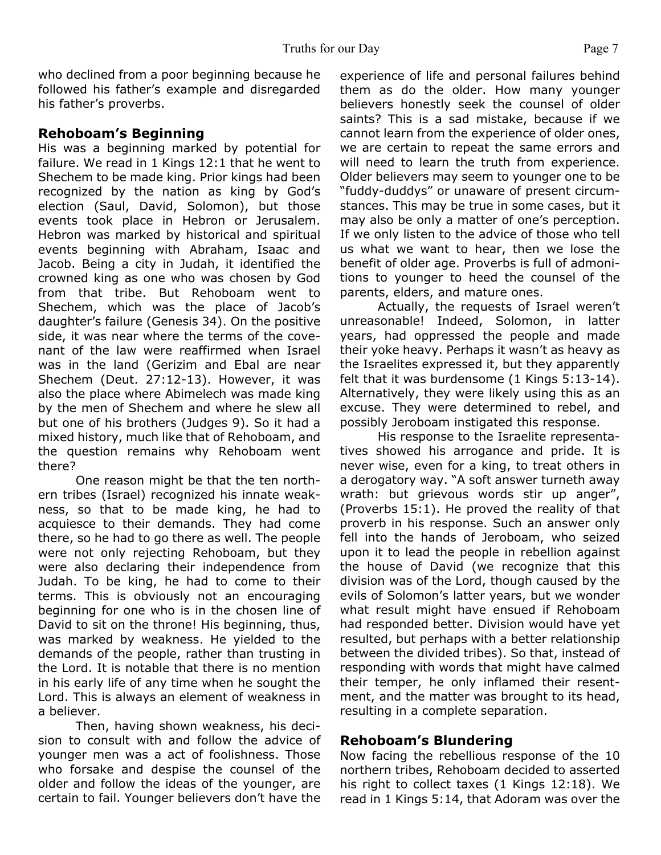#### **Rehoboam's Beginning**

His was a beginning marked by potential for failure. We read in 1 Kings 12:1 that he went to Shechem to be made king. Prior kings had been recognized by the nation as king by God's election (Saul, David, Solomon), but those events took place in Hebron or Jerusalem. Hebron was marked by historical and spiritual events beginning with Abraham, Isaac and Jacob. Being a city in Judah, it identified the crowned king as one who was chosen by God from that tribe. But Rehoboam went to Shechem, which was the place of Jacob's daughter's failure (Genesis 34). On the positive side, it was near where the terms of the covenant of the law were reaffirmed when Israel was in the land (Gerizim and Ebal are near Shechem (Deut. 27:12-13). However, it was also the place where Abimelech was made king by the men of Shechem and where he slew all but one of his brothers (Judges 9). So it had a mixed history, much like that of Rehoboam, and the question remains why Rehoboam went there?

 One reason might be that the ten northern tribes (Israel) recognized his innate weakness, so that to be made king, he had to acquiesce to their demands. They had come there, so he had to go there as well. The people were not only rejecting Rehoboam, but they were also declaring their independence from Judah. To be king, he had to come to their terms. This is obviously not an encouraging beginning for one who is in the chosen line of David to sit on the throne! His beginning, thus, was marked by weakness. He yielded to the demands of the people, rather than trusting in the Lord. It is notable that there is no mention in his early life of any time when he sought the Lord. This is always an element of weakness in a believer.

 Then, having shown weakness, his decision to consult with and follow the advice of younger men was a act of foolishness. Those who forsake and despise the counsel of the older and follow the ideas of the younger, are certain to fail. Younger believers don't have the

experience of life and personal failures behind them as do the older. How many younger believers honestly seek the counsel of older saints? This is a sad mistake, because if we cannot learn from the experience of older ones, we are certain to repeat the same errors and will need to learn the truth from experience. Older believers may seem to younger one to be "fuddy-duddys" or unaware of present circumstances. This may be true in some cases, but it may also be only a matter of one's perception. If we only listen to the advice of those who tell us what we want to hear, then we lose the benefit of older age. Proverbs is full of admonitions to younger to heed the counsel of the parents, elders, and mature ones.

 Actually, the requests of Israel weren't unreasonable! Indeed, Solomon, in latter years, had oppressed the people and made their yoke heavy. Perhaps it wasn't as heavy as the Israelites expressed it, but they apparently felt that it was burdensome (1 Kings 5:13-14). Alternatively, they were likely using this as an excuse. They were determined to rebel, and possibly Jeroboam instigated this response.

 His response to the Israelite representatives showed his arrogance and pride. It is never wise, even for a king, to treat others in a derogatory way. "A soft answer turneth away wrath: but grievous words stir up anger", (Proverbs 15:1). He proved the reality of that proverb in his response. Such an answer only fell into the hands of Jeroboam, who seized upon it to lead the people in rebellion against the house of David (we recognize that this division was of the Lord, though caused by the evils of Solomon's latter years, but we wonder what result might have ensued if Rehoboam had responded better. Division would have yet resulted, but perhaps with a better relationship between the divided tribes). So that, instead of responding with words that might have calmed their temper, he only inflamed their resentment, and the matter was brought to its head, resulting in a complete separation.

#### **Rehoboam's Blundering**

Now facing the rebellious response of the 10 northern tribes, Rehoboam decided to asserted his right to collect taxes (1 Kings 12:18). We read in 1 Kings 5:14, that Adoram was over the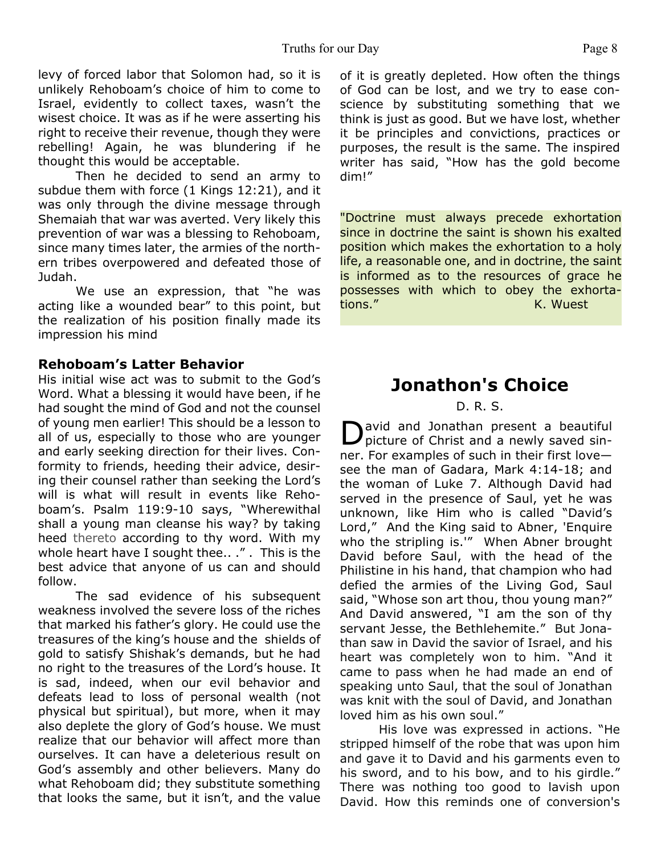levy of forced labor that Solomon had, so it is unlikely Rehoboam's choice of him to come to Israel, evidently to collect taxes, wasn't the wisest choice. It was as if he were asserting his right to receive their revenue, though they were rebelling! Again, he was blundering if he thought this would be acceptable.

 Then he decided to send an army to subdue them with force (1 Kings 12:21), and it was only through the divine message through Shemaiah that war was averted. Very likely this prevention of war was a blessing to Rehoboam, since many times later, the armies of the northern tribes overpowered and defeated those of Judah.

 We use an expression, that "he was acting like a wounded bear" to this point, but the realization of his position finally made its impression his mind

#### **Rehoboam's Latter Behavior**

His initial wise act was to submit to the God's Word. What a blessing it would have been, if he had sought the mind of God and not the counsel of young men earlier! This should be a lesson to all of us, especially to those who are younger and early seeking direction for their lives. Conformity to friends, heeding their advice, desiring their counsel rather than seeking the Lord's will is what will result in events like Rehoboam's. Psalm 119:9-10 says, "Wherewithal shall a young man cleanse his way? by taking heed thereto according to thy word. With my whole heart have I sought thee.. ." . This is the best advice that anyone of us can and should follow.

 The sad evidence of his subsequent weakness involved the severe loss of the riches that marked his father's glory. He could use the treasures of the king's house and the shields of gold to satisfy Shishak's demands, but he had no right to the treasures of the Lord's house. It is sad, indeed, when our evil behavior and defeats lead to loss of personal wealth (not physical but spiritual), but more, when it may also deplete the glory of God's house. We must realize that our behavior will affect more than ourselves. It can have a deleterious result on God's assembly and other believers. Many do what Rehoboam did; they substitute something that looks the same, but it isn't, and the value

of it is greatly depleted. How often the things of God can be lost, and we try to ease conscience by substituting something that we think is just as good. But we have lost, whether it be principles and convictions, practices or purposes, the result is the same. The inspired writer has said, "How has the gold become dim!"

"Doctrine must always precede exhortation since in doctrine the saint is shown his exalted position which makes the exhortation to a holy life, a reasonable one, and in doctrine, the saint is informed as to the resources of grace he possesses with which to obey the exhortations." Exercise Contract Contract Contract Contract Contract Contract Contract Contract Contract Contract Contract Contract Contract Contract Contract Contract Contract Contract Contract Contract Contract Contract Contrac

## **Jonathon's Choice**

#### D. R. S.

D avid and Jonathan present a beautiful picture of Christ and a newly saved sinner. For examples of such in their first love see the man of Gadara, Mark 4:14-18; and the woman of Luke 7. Although David had served in the presence of Saul, yet he was unknown, like Him who is called "David's Lord," And the King said to Abner, 'Enquire who the stripling is.'" When Abner brought David before Saul, with the head of the Philistine in his hand, that champion who had defied the armies of the Living God, Saul said, "Whose son art thou, thou young man?" And David answered, "I am the son of thy servant Jesse, the Bethlehemite." But Jonathan saw in David the savior of Israel, and his heart was completely won to him. "And it came to pass when he had made an end of speaking unto Saul, that the soul of Jonathan was knit with the soul of David, and Jonathan loved him as his own soul."

 His love was expressed in actions. "He stripped himself of the robe that was upon him and gave it to David and his garments even to his sword, and to his bow, and to his girdle." There was nothing too good to lavish upon David. How this reminds one of conversion's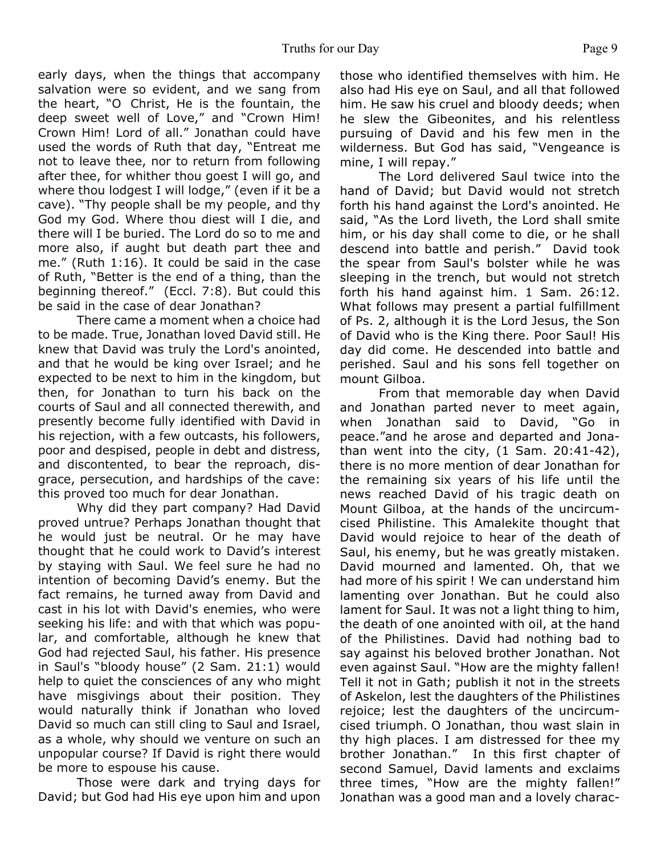early days, when the things that accompany salvation were so evident, and we sang from the heart, "O Christ, He is the fountain, the deep sweet well of Love," and "Crown Him! Crown Him! Lord of all." Jonathan could have used the words of Ruth that day, "Entreat me not to leave thee, nor to return from following after thee, for whither thou goest I will go, and where thou lodgest I will lodge," (even if it be a cave). "Thy people shall be my people, and thy God my God. Where thou diest will I die, and there will I be buried. The Lord do so to me and more also, if aught but death part thee and me." (Ruth 1:16). It could be said in the case of Ruth, "Better is the end of a thing, than the beginning thereof." (Eccl. 7:8). But could this be said in the case of dear Jonathan?

 There came a moment when a choice had to be made. True, Jonathan loved David still. He knew that David was truly the Lord's anointed, and that he would be king over Israel; and he expected to be next to him in the kingdom, but then, for Jonathan to turn his back on the courts of Saul and all connected therewith, and presently become fully identified with David in his rejection, with a few outcasts, his followers, poor and despised, people in debt and distress, and discontented, to bear the reproach, disgrace, persecution, and hardships of the cave: this proved too much for dear Jonathan.

 Why did they part company? Had David proved untrue? Perhaps Jonathan thought that he would just be neutral. Or he may have thought that he could work to David's interest by staying with Saul. We feel sure he had no intention of becoming David's enemy. But the fact remains, he turned away from David and cast in his lot with David's enemies, who were seeking his life: and with that which was popular, and comfortable, although he knew that God had rejected Saul, his father. His presence in Saul's "bloody house" (2 Sam. 21:1) would help to quiet the consciences of any who might have misgivings about their position. They would naturally think if Jonathan who loved David so much can still cling to Saul and Israel, as a whole, why should we venture on such an unpopular course? If David is right there would be more to espouse his cause.

 Those were dark and trying days for David; but God had His eye upon him and upon those who identified themselves with him. He also had His eye on Saul, and all that followed him. He saw his cruel and bloody deeds; when he slew the Gibeonites, and his relentless pursuing of David and his few men in the wilderness. But God has said, "Vengeance is mine, I will repay."

 The Lord delivered Saul twice into the hand of David; but David would not stretch forth his hand against the Lord's anointed. He said, "As the Lord liveth, the Lord shall smite him, or his day shall come to die, or he shall descend into battle and perish." David took the spear from Saul's bolster while he was sleeping in the trench, but would not stretch forth his hand against him. 1 Sam. 26:12. What follows may present a partial fulfillment of Ps. 2, although it is the Lord Jesus, the Son of David who is the King there. Poor Saul! His day did come. He descended into battle and perished. Saul and his sons fell together on mount Gilboa.

 From that memorable day when David and Jonathan parted never to meet again, when Jonathan said to David, "Go in peace."and he arose and departed and Jonathan went into the city,  $(1 \text{ Sam. } 20:41-42)$ , there is no more mention of dear Jonathan for the remaining six years of his life until the news reached David of his tragic death on Mount Gilboa, at the hands of the uncircumcised Philistine. This Amalekite thought that David would rejoice to hear of the death of Saul, his enemy, but he was greatly mistaken. David mourned and lamented. Oh, that we had more of his spirit ! We can understand him lamenting over Jonathan. But he could also lament for Saul. It was not a light thing to him, the death of one anointed with oil, at the hand of the Philistines. David had nothing bad to say against his beloved brother Jonathan. Not even against Saul. "How are the mighty fallen! Tell it not in Gath; publish it not in the streets of Askelon, lest the daughters of the Philistines rejoice; lest the daughters of the uncircumcised triumph. O Jonathan, thou wast slain in thy high places. I am distressed for thee my brother Jonathan." In this first chapter of second Samuel, David laments and exclaims three times, "How are the mighty fallen!" Jonathan was a good man and a lovely charac-